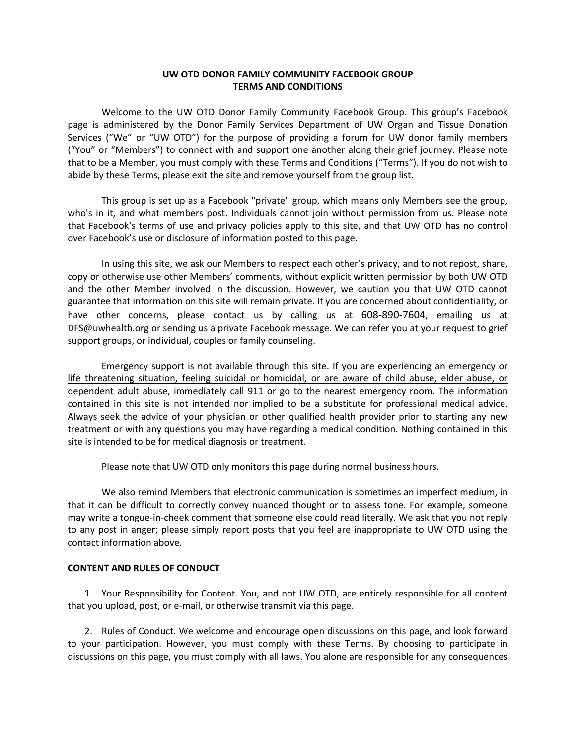# **UW OTD DONOR FAMILY COMMUNITY FACEBOOK GROUP TERMS AND CONDITIONS**

Welcome to the UW OTD Donor Family Community Facebook Group. This group's Facebook page is administered by the Donor Family Services Department of UW Organ and Tissue Donation Services ("We" or "UW OTD") for the purpose of providing a forum for UW donor family members ("You" or "Members") to connect with and support one another along their grief journey. Please note that to be a Member, you must comply with these Terms and Conditions ("Terms"). If you do not wish to abide by these Terms, please exit the site and remove yourself from the group list.

This group is set up as a Facebook "private" group, which means only Members see the group, who's in it, and what members post. Individuals cannot join without permission from us. Please note that Facebook's terms of use and privacy policies apply to this site, and that UW OTD has no control over Facebook's use or disclosure of information posted to this page.

In using this site, we ask our Members to respect each other's privacy, and to not repost, share, copy or otherwise use other Members' comments, without explicit written permission by both UW OTD and the other Member involved in the discussion. However, we caution you that UW OTD cannot guarantee that information on this site will remain private. If you are concerned about confidentiality, or have other concerns, please contact us by calling us at 608‐890‐7604, emailing us at DFS@uwhealth.org or sending us a private Facebook message. We can refer you at your request to grief support groups, or individual, couples or family counseling.

Emergency support is not available through this site. If you are experiencing an emergency or life threatening situation, feeling suicidal or homicidal, or are aware of child abuse, elder abuse, or dependent adult abuse, immediately call 911 or go to the nearest emergency room. The information contained in this site is not intended nor implied to be a substitute for professional medical advice. Always seek the advice of your physician or other qualified health provider prior to starting any new treatment or with any questions you may have regarding a medical condition. Nothing contained in this site is intended to be for medical diagnosis or treatment.

Please note that UW OTD only monitors this page during normal business hours.

We also remind Members that electronic communication is sometimes an imperfect medium, in that it can be difficult to correctly convey nuanced thought or to assess tone. For example, someone may write a tongue‐in‐cheek comment that someone else could read literally. We ask that you not reply to any post in anger; please simply report posts that you feel are inappropriate to UW OTD using the contact information above.

### **CONTENT AND RULES OF CONDUCT**

1. Your Responsibility for Content. You, and not UW OTD, are entirely responsible for all content that you upload, post, or e‐mail, or otherwise transmit via this page.

2. Rules of Conduct. We welcome and encourage open discussions on this page, and look forward to your participation. However, you must comply with these Terms. By choosing to participate in discussions on this page, you must comply with all laws. You alone are responsible for any consequences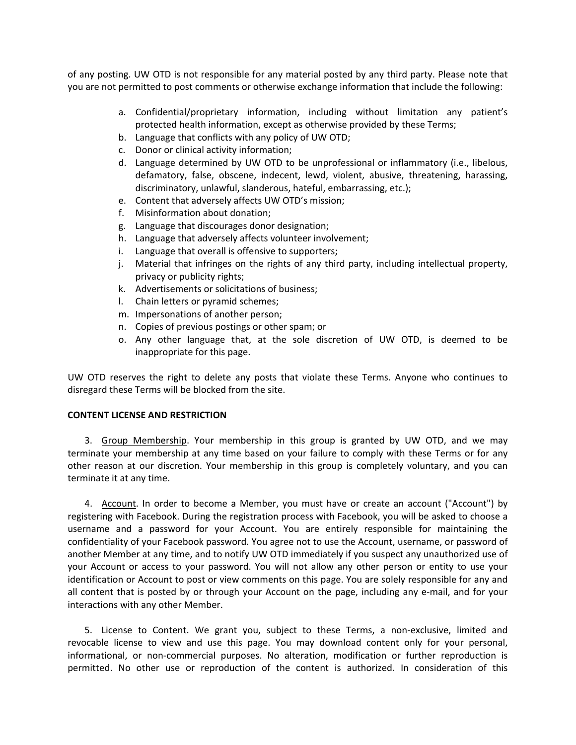of any posting. UW OTD is not responsible for any material posted by any third party. Please note that you are not permitted to post comments or otherwise exchange information that include the following:

- a. Confidential/proprietary information, including without limitation any patient's protected health information, except as otherwise provided by these Terms;
- b. Language that conflicts with any policy of UW OTD;
- c. Donor or clinical activity information;
- d. Language determined by UW OTD to be unprofessional or inflammatory (i.e., libelous, defamatory, false, obscene, indecent, lewd, violent, abusive, threatening, harassing, discriminatory, unlawful, slanderous, hateful, embarrassing, etc.);
- e. Content that adversely affects UW OTD's mission;
- f. Misinformation about donation;
- g. Language that discourages donor designation;
- h. Language that adversely affects volunteer involvement;
- i. Language that overall is offensive to supporters;
- j. Material that infringes on the rights of any third party, including intellectual property, privacy or publicity rights;
- k. Advertisements or solicitations of business;
- l. Chain letters or pyramid schemes;
- m. Impersonations of another person;
- n. Copies of previous postings or other spam; or
- o. Any other language that, at the sole discretion of UW OTD, is deemed to be inappropriate for this page.

UW OTD reserves the right to delete any posts that violate these Terms. Anyone who continues to disregard these Terms will be blocked from the site.

# **CONTENT LICENSE AND RESTRICTION**

3. Group Membership. Your membership in this group is granted by UW OTD, and we may terminate your membership at any time based on your failure to comply with these Terms or for any other reason at our discretion. Your membership in this group is completely voluntary, and you can terminate it at any time.

4. Account. In order to become a Member, you must have or create an account ("Account") by registering with Facebook. During the registration process with Facebook, you will be asked to choose a username and a password for your Account. You are entirely responsible for maintaining the confidentiality of your Facebook password. You agree not to use the Account, username, or password of another Member at any time, and to notify UW OTD immediately if you suspect any unauthorized use of your Account or access to your password. You will not allow any other person or entity to use your identification or Account to post or view comments on this page. You are solely responsible for any and all content that is posted by or through your Account on the page, including any e‐mail, and for your interactions with any other Member.

5. License to Content. We grant you, subject to these Terms, a non-exclusive, limited and revocable license to view and use this page. You may download content only for your personal, informational, or non‐commercial purposes. No alteration, modification or further reproduction is permitted. No other use or reproduction of the content is authorized. In consideration of this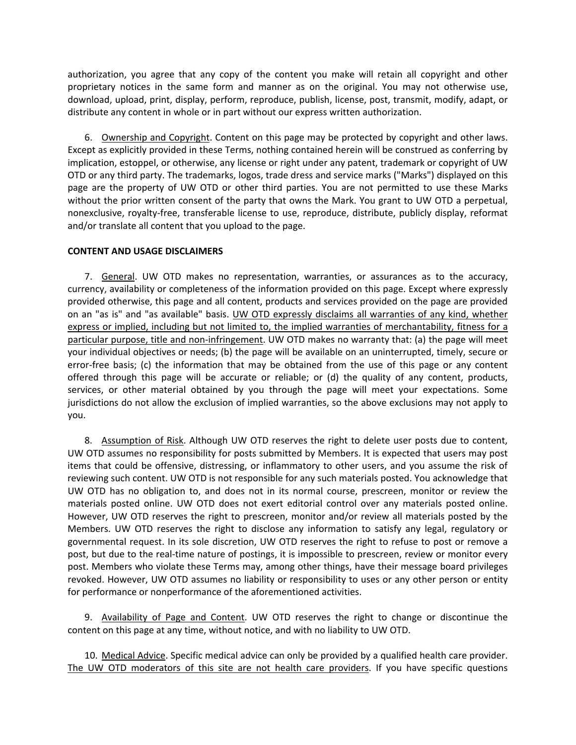authorization, you agree that any copy of the content you make will retain all copyright and other proprietary notices in the same form and manner as on the original. You may not otherwise use, download, upload, print, display, perform, reproduce, publish, license, post, transmit, modify, adapt, or distribute any content in whole or in part without our express written authorization.

6. Ownership and Copyright. Content on this page may be protected by copyright and other laws. Except as explicitly provided in these Terms, nothing contained herein will be construed as conferring by implication, estoppel, or otherwise, any license or right under any patent, trademark or copyright of UW OTD or any third party. The trademarks, logos, trade dress and service marks ("Marks") displayed on this page are the property of UW OTD or other third parties. You are not permitted to use these Marks without the prior written consent of the party that owns the Mark. You grant to UW OTD a perpetual, nonexclusive, royalty‐free, transferable license to use, reproduce, distribute, publicly display, reformat and/or translate all content that you upload to the page.

### **CONTENT AND USAGE DISCLAIMERS**

7. General. UW OTD makes no representation, warranties, or assurances as to the accuracy, currency, availability or completeness of the information provided on this page. Except where expressly provided otherwise, this page and all content, products and services provided on the page are provided on an "as is" and "as available" basis. UW OTD expressly disclaims all warranties of any kind, whether express or implied, including but not limited to, the implied warranties of merchantability, fitness for a particular purpose, title and non-infringement. UW OTD makes no warranty that: (a) the page will meet your individual objectives or needs; (b) the page will be available on an uninterrupted, timely, secure or error-free basis; (c) the information that may be obtained from the use of this page or any content offered through this page will be accurate or reliable; or (d) the quality of any content, products, services, or other material obtained by you through the page will meet your expectations. Some jurisdictions do not allow the exclusion of implied warranties, so the above exclusions may not apply to you.

8. Assumption of Risk. Although UW OTD reserves the right to delete user posts due to content, UW OTD assumes no responsibility for posts submitted by Members. It is expected that users may post items that could be offensive, distressing, or inflammatory to other users, and you assume the risk of reviewing such content. UW OTD is not responsible for any such materials posted. You acknowledge that UW OTD has no obligation to, and does not in its normal course, prescreen, monitor or review the materials posted online. UW OTD does not exert editorial control over any materials posted online. However, UW OTD reserves the right to prescreen, monitor and/or review all materials posted by the Members. UW OTD reserves the right to disclose any information to satisfy any legal, regulatory or governmental request. In its sole discretion, UW OTD reserves the right to refuse to post or remove a post, but due to the real‐time nature of postings, it is impossible to prescreen, review or monitor every post. Members who violate these Terms may, among other things, have their message board privileges revoked. However, UW OTD assumes no liability or responsibility to uses or any other person or entity for performance or nonperformance of the aforementioned activities.

9. Availability of Page and Content. UW OTD reserves the right to change or discontinue the content on this page at any time, without notice, and with no liability to UW OTD.

10. Medical Advice. Specific medical advice can only be provided by a qualified health care provider. The UW OTD moderators of this site are not health care providers. If you have specific questions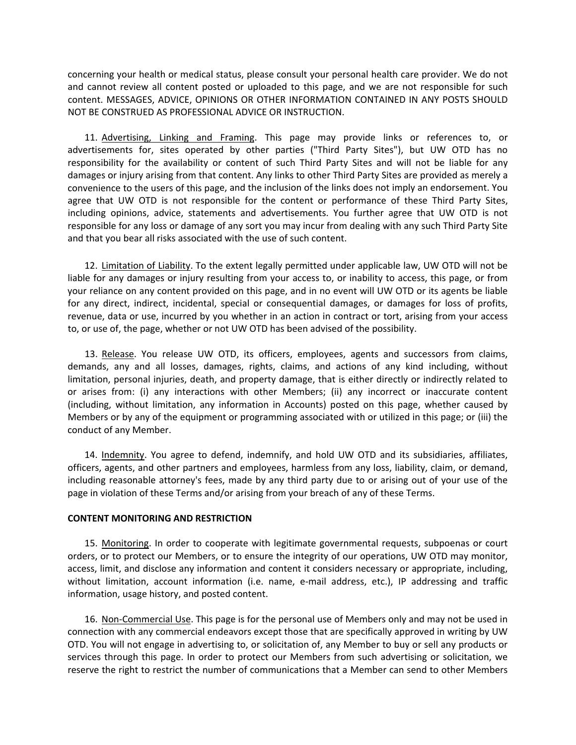concerning your health or medical status, please consult your personal health care provider. We do not and cannot review all content posted or uploaded to this page, and we are not responsible for such content. MESSAGES, ADVICE, OPINIONS OR OTHER INFORMATION CONTAINED IN ANY POSTS SHOULD NOT BE CONSTRUED AS PROFESSIONAL ADVICE OR INSTRUCTION.

11. Advertising, Linking and Framing. This page may provide links or references to, or advertisements for, sites operated by other parties ("Third Party Sites"), but UW OTD has no responsibility for the availability or content of such Third Party Sites and will not be liable for any damages or injury arising from that content. Any links to other Third Party Sites are provided as merely a convenience to the users of this page, and the inclusion of the links does not imply an endorsement. You agree that UW OTD is not responsible for the content or performance of these Third Party Sites, including opinions, advice, statements and advertisements. You further agree that UW OTD is not responsible for any loss or damage of any sort you may incur from dealing with any such Third Party Site and that you bear all risks associated with the use of such content.

12. Limitation of Liability. To the extent legally permitted under applicable law, UW OTD will not be liable for any damages or injury resulting from your access to, or inability to access, this page, or from your reliance on any content provided on this page, and in no event will UW OTD or its agents be liable for any direct, indirect, incidental, special or consequential damages, or damages for loss of profits, revenue, data or use, incurred by you whether in an action in contract or tort, arising from your access to, or use of, the page, whether or not UW OTD has been advised of the possibility.

13. Release. You release UW OTD, its officers, employees, agents and successors from claims, demands, any and all losses, damages, rights, claims, and actions of any kind including, without limitation, personal injuries, death, and property damage, that is either directly or indirectly related to or arises from: (i) any interactions with other Members; (ii) any incorrect or inaccurate content (including, without limitation, any information in Accounts) posted on this page, whether caused by Members or by any of the equipment or programming associated with or utilized in this page; or (iii) the conduct of any Member.

14. Indemnity. You agree to defend, indemnify, and hold UW OTD and its subsidiaries, affiliates, officers, agents, and other partners and employees, harmless from any loss, liability, claim, or demand, including reasonable attorney's fees, made by any third party due to or arising out of your use of the page in violation of these Terms and/or arising from your breach of any of these Terms.

### **CONTENT MONITORING AND RESTRICTION**

15. Monitoring. In order to cooperate with legitimate governmental requests, subpoenas or court orders, or to protect our Members, or to ensure the integrity of our operations, UW OTD may monitor, access, limit, and disclose any information and content it considers necessary or appropriate, including, without limitation, account information (i.e. name, e-mail address, etc.), IP addressing and traffic information, usage history, and posted content.

16. Non‐Commercial Use. This page is for the personal use of Members only and may not be used in connection with any commercial endeavors except those that are specifically approved in writing by UW OTD. You will not engage in advertising to, or solicitation of, any Member to buy or sell any products or services through this page. In order to protect our Members from such advertising or solicitation, we reserve the right to restrict the number of communications that a Member can send to other Members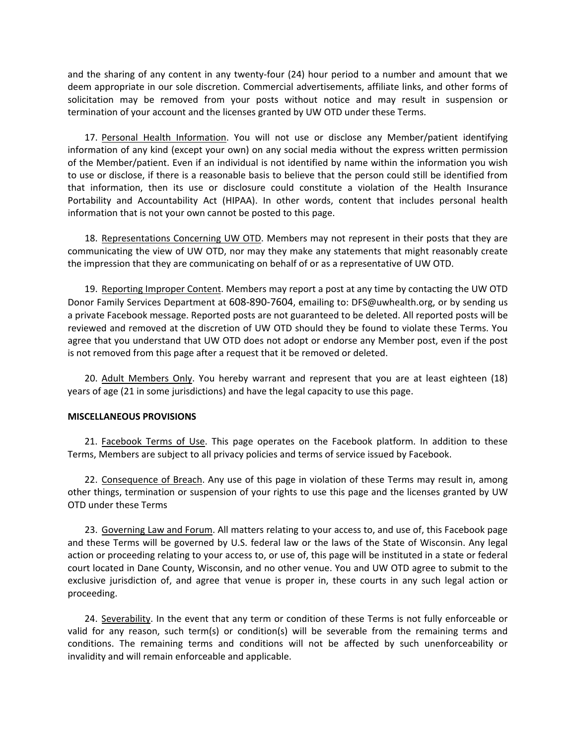and the sharing of any content in any twenty-four (24) hour period to a number and amount that we deem appropriate in our sole discretion. Commercial advertisements, affiliate links, and other forms of solicitation may be removed from your posts without notice and may result in suspension or termination of your account and the licenses granted by UW OTD under these Terms.

17. Personal Health Information. You will not use or disclose any Member/patient identifying information of any kind (except your own) on any social media without the express written permission of the Member/patient. Even if an individual is not identified by name within the information you wish to use or disclose, if there is a reasonable basis to believe that the person could still be identified from that information, then its use or disclosure could constitute a violation of the Health Insurance Portability and Accountability Act (HIPAA). In other words, content that includes personal health information that is not your own cannot be posted to this page.

18. Representations Concerning UW OTD. Members may not represent in their posts that they are communicating the view of UW OTD, nor may they make any statements that might reasonably create the impression that they are communicating on behalf of or as a representative of UW OTD.

19. Reporting Improper Content. Members may report a post at any time by contacting the UW OTD Donor Family Services Department at 608‐890‐7604, emailing to: DFS@uwhealth.org, or by sending us a private Facebook message. Reported posts are not guaranteed to be deleted. All reported posts will be reviewed and removed at the discretion of UW OTD should they be found to violate these Terms. You agree that you understand that UW OTD does not adopt or endorse any Member post, even if the post is not removed from this page after a request that it be removed or deleted.

20. Adult Members Only. You hereby warrant and represent that you are at least eighteen (18) years of age (21 in some jurisdictions) and have the legal capacity to use this page.

### **MISCELLANEOUS PROVISIONS**

21. Facebook Terms of Use. This page operates on the Facebook platform. In addition to these Terms, Members are subject to all privacy policies and terms of service issued by Facebook.

22. Consequence of Breach. Any use of this page in violation of these Terms may result in, among other things, termination or suspension of your rights to use this page and the licenses granted by UW OTD under these Terms

23. Governing Law and Forum. All matters relating to your access to, and use of, this Facebook page and these Terms will be governed by U.S. federal law or the laws of the State of Wisconsin. Any legal action or proceeding relating to your access to, or use of, this page will be instituted in a state or federal court located in Dane County, Wisconsin, and no other venue. You and UW OTD agree to submit to the exclusive jurisdiction of, and agree that venue is proper in, these courts in any such legal action or proceeding.

24. Severability. In the event that any term or condition of these Terms is not fully enforceable or valid for any reason, such term(s) or condition(s) will be severable from the remaining terms and conditions. The remaining terms and conditions will not be affected by such unenforceability or invalidity and will remain enforceable and applicable.